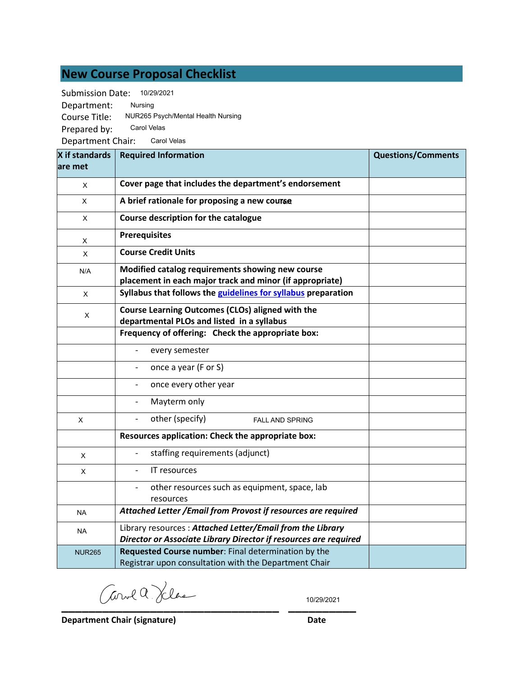# **New Course Proposal Checklist**

Submission Date: 10/29/2021

Department: Course Title: Prepared by: Department Chair: Carol Velas Nursing NUR265 Psych/Mental Health Nursing Carol Velas

| X if standards<br>lare met | <b>Required Information</b>                                                                                                   | <b>Questions/Comments</b> |
|----------------------------|-------------------------------------------------------------------------------------------------------------------------------|---------------------------|
| X                          | Cover page that includes the department's endorsement                                                                         |                           |
| X                          | A brief rationale for proposing a new course                                                                                  |                           |
| X                          | Course description for the catalogue                                                                                          |                           |
| Χ                          | <b>Prerequisites</b>                                                                                                          |                           |
| X                          | <b>Course Credit Units</b>                                                                                                    |                           |
| N/A                        | Modified catalog requirements showing new course<br>placement in each major track and minor (if appropriate)                  |                           |
| X                          | Syllabus that follows the guidelines for syllabus preparation                                                                 |                           |
| X                          | Course Learning Outcomes (CLOs) aligned with the<br>departmental PLOs and listed in a syllabus                                |                           |
|                            | Frequency of offering: Check the appropriate box:                                                                             |                           |
|                            | every semester                                                                                                                |                           |
|                            | once a year (F or S)                                                                                                          |                           |
|                            | once every other year                                                                                                         |                           |
|                            | Mayterm only                                                                                                                  |                           |
| X                          | other (specify)<br><b>FALL AND SPRING</b>                                                                                     |                           |
|                            | Resources application: Check the appropriate box:                                                                             |                           |
| X                          | staffing requirements (adjunct)                                                                                               |                           |
| X                          | IT resources                                                                                                                  |                           |
|                            | other resources such as equipment, space, lab<br>resources                                                                    |                           |
| <b>NA</b>                  | Attached Letter / Email from Provost if resources are required                                                                |                           |
| <b>NA</b>                  | Library resources: Attached Letter/Email from the Library<br>Director or Associate Library Director if resources are required |                           |
| <b>NUR265</b>              | Requested Course number: Final determination by the<br>Registrar upon consultation with the Department Chair                  |                           |

**\_\_\_\_\_\_\_\_\_\_\_\_\_\_\_\_\_\_\_\_\_\_\_\_\_\_\_\_\_\_\_\_ \_\_\_\_\_\_\_\_\_\_**

10/29/2021

**Department Chair (signature) Date**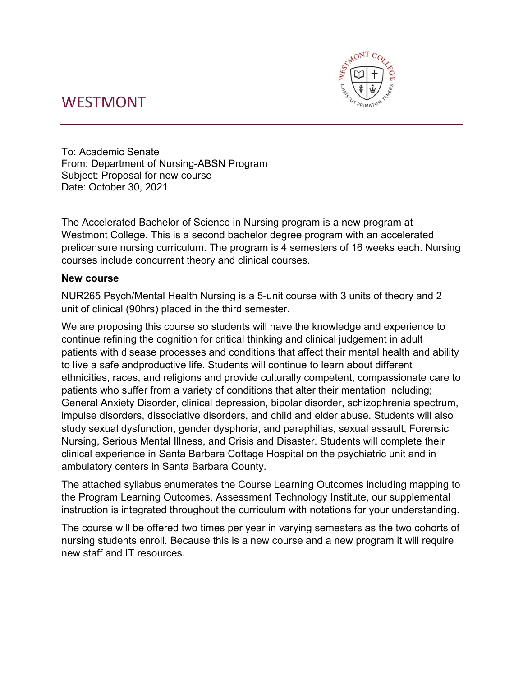# WESTMONT



To: Academic Senate From: Department of Nursing-ABSN Program Subject: Proposal for new course Date: October 30, 2021

The Accelerated Bachelor of Science in Nursing program is a new program at Westmont College. This is a second bachelor degree program with an accelerated prelicensure nursing curriculum. The program is 4 semesters of 16 weeks each. Nursing courses include concurrent theory and clinical courses.

# **New course**

NUR265 Psych/Mental Health Nursing is a 5-unit course with 3 units of theory and 2 unit of clinical (90hrs) placed in the third semester.

We are proposing this course so students will have the knowledge and experience to continue refining the cognition for critical thinking and clinical judgement in adult patients with disease processes and conditions that affect their mental health and ability to live a safe andproductive life. Students will continue to learn about different ethnicities, races, and religions and provide culturally competent, compassionate care to patients who suffer from a variety of conditions that alter their mentation including; General Anxiety Disorder, clinical depression, bipolar disorder, schizophrenia spectrum, impulse disorders, dissociative disorders, and child and elder abuse. Students will also study sexual dysfunction, gender dysphoria, and paraphilias, sexual assault, Forensic Nursing, Serious Mental Illness, and Crisis and Disaster. Students will complete their clinical experience in Santa Barbara Cottage Hospital on the psychiatric unit and in ambulatory centers in Santa Barbara County.

The attached syllabus enumerates the Course Learning Outcomes including mapping to the Program Learning Outcomes. Assessment Technology Institute, our supplemental instruction is integrated throughout the curriculum with notations for your understanding.

The course will be offered two times per year in varying semesters as the two cohorts of nursing students enroll. Because this is a new course and a new program it will require new staff and IT resources.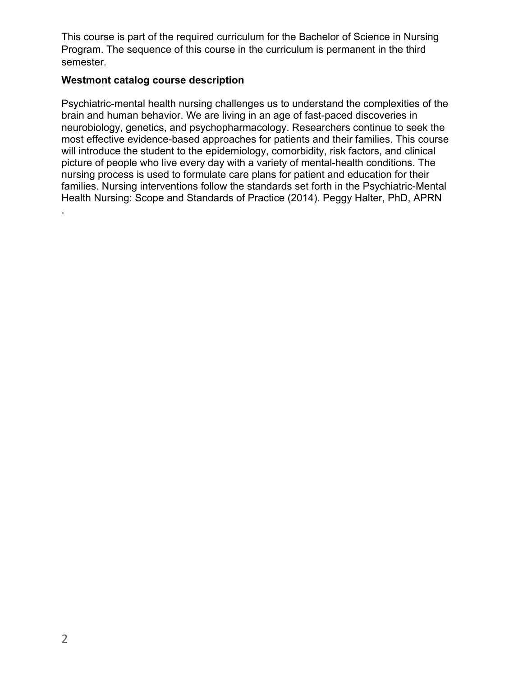This course is part of the required curriculum for the Bachelor of Science in Nursing Program. The sequence of this course in the curriculum is permanent in the third semester.

# **Westmont catalog course description**

Psychiatric-mental health nursing challenges us to understand the complexities of the brain and human behavior. We are living in an age of fast-paced discoveries in neurobiology, genetics, and psychopharmacology. Researchers continue to seek the most effective evidence-based approaches for patients and their families. This course will introduce the student to the epidemiology, comorbidity, risk factors, and clinical picture of people who live every day with a variety of mental-health conditions. The nursing process is used to formulate care plans for patient and education for their families. Nursing interventions follow the standards set forth in the Psychiatric-Mental Health Nursing: Scope and Standards of Practice (2014). Peggy Halter, PhD, APRN .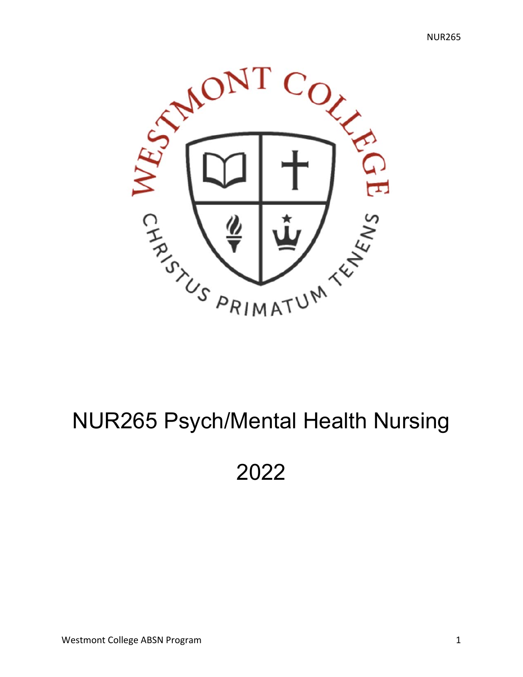

# NUR265 Psych/Mental Health Nursing

2022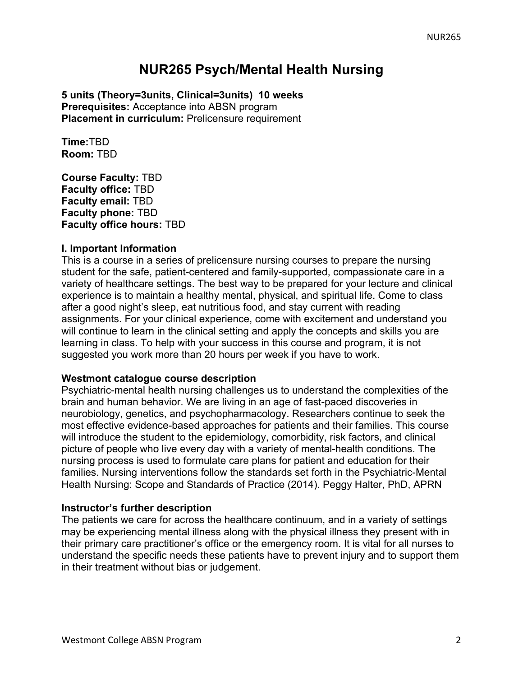# **NUR265 Psych/Mental Health Nursing**

**5 units (Theory=3units, Clinical=3units) 10 weeks Prerequisites:** Acceptance into ABSN program **Placement in curriculum:** Prelicensure requirement

**Time:**TBD **Room:** TBD

**Course Faculty:** TBD **Faculty office:** TBD **Faculty email:** TBD **Faculty phone:** TBD **Faculty office hours:** TBD

## **I. Important Information**

This is a course in a series of prelicensure nursing courses to prepare the nursing student for the safe, patient-centered and family-supported, compassionate care in a variety of healthcare settings. The best way to be prepared for your lecture and clinical experience is to maintain a healthy mental, physical, and spiritual life. Come to class after a good night's sleep, eat nutritious food, and stay current with reading assignments. For your clinical experience, come with excitement and understand you will continue to learn in the clinical setting and apply the concepts and skills you are learning in class. To help with your success in this course and program, it is not suggested you work more than 20 hours per week if you have to work.

#### **Westmont catalogue course description**

Psychiatric-mental health nursing challenges us to understand the complexities of the brain and human behavior. We are living in an age of fast-paced discoveries in neurobiology, genetics, and psychopharmacology. Researchers continue to seek the most effective evidence-based approaches for patients and their families. This course will introduce the student to the epidemiology, comorbidity, risk factors, and clinical picture of people who live every day with a variety of mental-health conditions. The nursing process is used to formulate care plans for patient and education for their families. Nursing interventions follow the standards set forth in the Psychiatric-Mental Health Nursing: Scope and Standards of Practice (2014). Peggy Halter, PhD, APRN

#### **Instructor's further description**

The patients we care for across the healthcare continuum, and in a variety of settings may be experiencing mental illness along with the physical illness they present with in their primary care practitioner's office or the emergency room. It is vital for all nurses to understand the specific needs these patients have to prevent injury and to support them in their treatment without bias or judgement.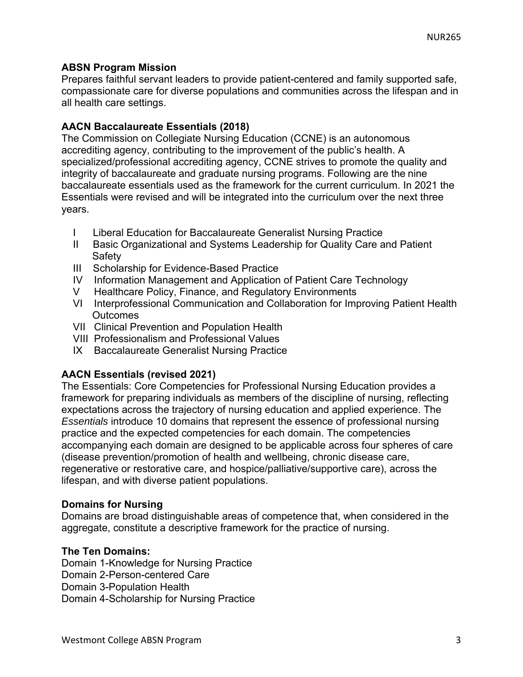# **ABSN Program Mission**

Prepares faithful servant leaders to provide patient-centered and family supported safe, compassionate care for diverse populations and communities across the lifespan and in all health care settings.

# **AACN Baccalaureate Essentials (2018)**

The Commission on Collegiate Nursing Education (CCNE) is an autonomous accrediting agency, contributing to the improvement of the public's health. A specialized/professional accrediting agency, CCNE strives to promote the quality and integrity of baccalaureate and graduate nursing programs. Following are the nine baccalaureate essentials used as the framework for the current curriculum. In 2021 the Essentials were revised and will be integrated into the curriculum over the next three years.

- I Liberal Education for Baccalaureate Generalist Nursing Practice
- II Basic Organizational and Systems Leadership for Quality Care and Patient **Safety**
- III Scholarship for Evidence-Based Practice
- IV Information Management and Application of Patient Care Technology
- V Healthcare Policy, Finance, and Regulatory Environments
- VI Interprofessional Communication and Collaboration for Improving Patient Health **Outcomes**
- VII Clinical Prevention and Population Health
- VIII Professionalism and Professional Values
- IX Baccalaureate Generalist Nursing Practice

# **AACN Essentials (revised 2021)**

The Essentials: Core Competencies for Professional Nursing Education provides a framework for preparing individuals as members of the discipline of nursing, reflecting expectations across the trajectory of nursing education and applied experience. The *Essentials* introduce 10 domains that represent the essence of professional nursing practice and the expected competencies for each domain. The competencies accompanying each domain are designed to be applicable across four spheres of care (disease prevention/promotion of health and wellbeing, chronic disease care, regenerative or restorative care, and hospice/palliative/supportive care), across the lifespan, and with diverse patient populations.

## **Domains for Nursing**

Domains are broad distinguishable areas of competence that, when considered in the aggregate, constitute a descriptive framework for the practice of nursing.

## **The Ten Domains:**

Domain 1-Knowledge for Nursing Practice Domain 2-Person-centered Care Domain 3-Population Health Domain 4-Scholarship for Nursing Practice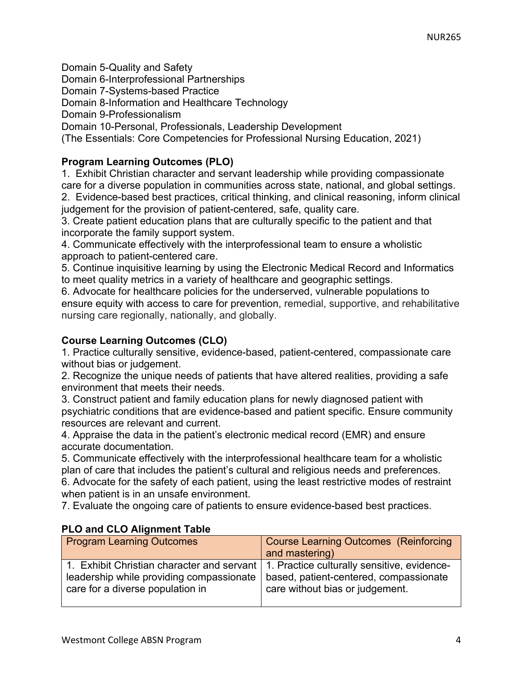Domain 5-Quality and Safety Domain 6-Interprofessional Partnerships Domain 7-Systems-based Practice Domain 8-Information and Healthcare Technology Domain 9-Professionalism Domain 10-Personal, Professionals, Leadership Development (The Essentials: Core Competencies for Professional Nursing Education, 2021)

# **Program Learning Outcomes (PLO)**

1. Exhibit Christian character and servant leadership while providing compassionate care for a diverse population in communities across state, national, and global settings.

2. Evidence-based best practices, critical thinking, and clinical reasoning, inform clinical judgement for the provision of patient-centered, safe, quality care.

3. Create patient education plans that are culturally specific to the patient and that incorporate the family support system.

4. Communicate effectively with the interprofessional team to ensure a wholistic approach to patient-centered care.

5. Continue inquisitive learning by using the Electronic Medical Record and Informatics to meet quality metrics in a variety of healthcare and geographic settings.

6. Advocate for healthcare policies for the underserved, vulnerable populations to ensure equity with access to care for prevention, remedial, supportive, and rehabilitative nursing care regionally, nationally, and globally.

# **Course Learning Outcomes (CLO)**

1. Practice culturally sensitive, evidence-based, patient-centered, compassionate care without bias or judgement.

2. Recognize the unique needs of patients that have altered realities, providing a safe environment that meets their needs.

3. Construct patient and family education plans for newly diagnosed patient with psychiatric conditions that are evidence-based and patient specific. Ensure community resources are relevant and current.

4. Appraise the data in the patient's electronic medical record (EMR) and ensure accurate documentation.

5. Communicate effectively with the interprofessional healthcare team for a wholistic plan of care that includes the patient's cultural and religious needs and preferences. 6. Advocate for the safety of each patient, using the least restrictive modes of restraint when patient is in an unsafe environment.

7. Evaluate the ongoing care of patients to ensure evidence-based best practices.

| $\sim$ 2010 020 Augunion, radio                                                                                                                                          |                                                                           |
|--------------------------------------------------------------------------------------------------------------------------------------------------------------------------|---------------------------------------------------------------------------|
| <b>Program Learning Outcomes</b>                                                                                                                                         | <b>Course Learning Outcomes (Reinforcing)</b><br>and mastering)           |
| 1. Exhibit Christian character and servant   1. Practice culturally sensitive, evidence-<br>leadership while providing compassionate<br>care for a diverse population in | based, patient-centered, compassionate<br>care without bias or judgement. |

# **PLO and CLO Alignment Table**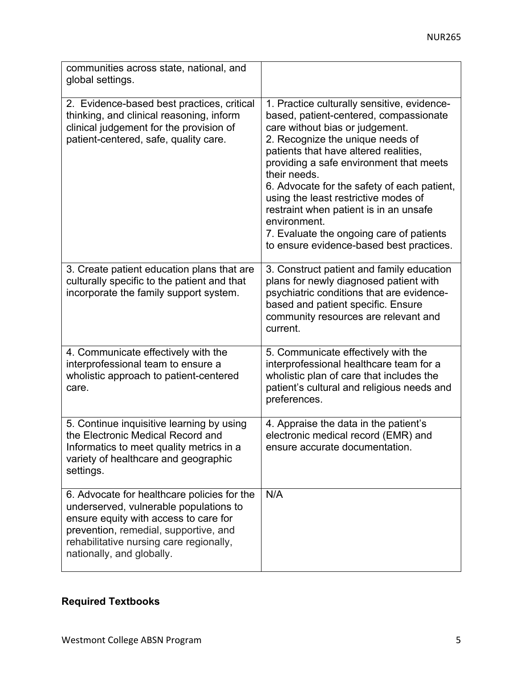| communities across state, national, and<br>global settings.                                                                                                                                                                                     |                                                                                                                                                                                                                                                                                                                                                                                                                                                                                                           |
|-------------------------------------------------------------------------------------------------------------------------------------------------------------------------------------------------------------------------------------------------|-----------------------------------------------------------------------------------------------------------------------------------------------------------------------------------------------------------------------------------------------------------------------------------------------------------------------------------------------------------------------------------------------------------------------------------------------------------------------------------------------------------|
| 2. Evidence-based best practices, critical<br>thinking, and clinical reasoning, inform<br>clinical judgement for the provision of<br>patient-centered, safe, quality care.                                                                      | 1. Practice culturally sensitive, evidence-<br>based, patient-centered, compassionate<br>care without bias or judgement.<br>2. Recognize the unique needs of<br>patients that have altered realities,<br>providing a safe environment that meets<br>their needs.<br>6. Advocate for the safety of each patient,<br>using the least restrictive modes of<br>restraint when patient is in an unsafe<br>environment.<br>7. Evaluate the ongoing care of patients<br>to ensure evidence-based best practices. |
| 3. Create patient education plans that are<br>culturally specific to the patient and that<br>incorporate the family support system.                                                                                                             | 3. Construct patient and family education<br>plans for newly diagnosed patient with<br>psychiatric conditions that are evidence-<br>based and patient specific. Ensure<br>community resources are relevant and<br>current.                                                                                                                                                                                                                                                                                |
| 4. Communicate effectively with the<br>interprofessional team to ensure a<br>wholistic approach to patient-centered<br>care.                                                                                                                    | 5. Communicate effectively with the<br>interprofessional healthcare team for a<br>wholistic plan of care that includes the<br>patient's cultural and religious needs and<br>preferences.                                                                                                                                                                                                                                                                                                                  |
| 5. Continue inquisitive learning by using<br>the Electronic Medical Record and<br>Informatics to meet quality metrics in a<br>variety of healthcare and geographic<br>settings.                                                                 | 4. Appraise the data in the patient's<br>electronic medical record (EMR) and<br>ensure accurate documentation.                                                                                                                                                                                                                                                                                                                                                                                            |
| 6. Advocate for healthcare policies for the<br>underserved, vulnerable populations to<br>ensure equity with access to care for<br>prevention, remedial, supportive, and<br>rehabilitative nursing care regionally,<br>nationally, and globally. | N/A                                                                                                                                                                                                                                                                                                                                                                                                                                                                                                       |

# **Required Textbooks**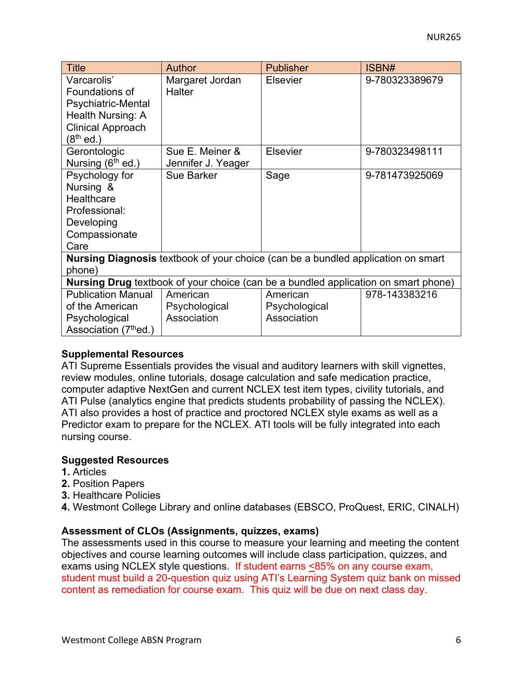| <b>Title</b>                                                                       | Author                                                                                  | <b>Publisher</b> | ISBN#          |  |  |
|------------------------------------------------------------------------------------|-----------------------------------------------------------------------------------------|------------------|----------------|--|--|
| Varcarolis'                                                                        | Margaret Jordan                                                                         | <b>Elsevier</b>  | 9-780323389679 |  |  |
| Foundations of                                                                     | <b>Halter</b>                                                                           |                  |                |  |  |
| Psychiatric-Mental                                                                 |                                                                                         |                  |                |  |  |
| Health Nursing: A                                                                  |                                                                                         |                  |                |  |  |
| <b>Clinical Approach</b>                                                           |                                                                                         |                  |                |  |  |
| (8 <sup>th</sup> ed.)                                                              |                                                                                         |                  |                |  |  |
| Gerontologic                                                                       | Sue E. Meiner &                                                                         | <b>Elsevier</b>  | 9-780323498111 |  |  |
| Nursing (6 <sup>th</sup> ed.)                                                      | Jennifer J. Yeager                                                                      |                  |                |  |  |
| Psychology for                                                                     | <b>Sue Barker</b>                                                                       | Sage             | 9-781473925069 |  |  |
| Nursing &                                                                          |                                                                                         |                  |                |  |  |
| Healthcare                                                                         |                                                                                         |                  |                |  |  |
| Professional:                                                                      |                                                                                         |                  |                |  |  |
| Developing                                                                         |                                                                                         |                  |                |  |  |
| Compassionate                                                                      |                                                                                         |                  |                |  |  |
| Care                                                                               |                                                                                         |                  |                |  |  |
|                                                                                    | <b>Nursing Diagnosis</b> textbook of your choice (can be a bundled application on smart |                  |                |  |  |
| phone)                                                                             |                                                                                         |                  |                |  |  |
| Nursing Drug textbook of your choice (can be a bundled application on smart phone) |                                                                                         |                  |                |  |  |
| <b>Publication Manual</b>                                                          | American                                                                                | American         | 978-143383216  |  |  |
| of the American                                                                    | Psychological                                                                           | Psychological    |                |  |  |
| Psychological                                                                      | Association                                                                             | Association      |                |  |  |
| Association (7 <sup>th</sup> ed.)                                                  |                                                                                         |                  |                |  |  |

## **Supplemental Resources**

ATI Supreme Essentials provides the visual and auditory learners with skill vignettes, review modules, online tutorials, dosage calculation and safe medication practice, computer adaptive NextGen and current NCLEX test item types, civility tutorials, and ATI Pulse (analytics engine that predicts students probability of passing the NCLEX). ATI also provides a host of practice and proctored NCLEX style exams as well as a Predictor exam to prepare for the NCLEX. ATI tools will be fully integrated into each nursing course.

## **Suggested Resources**

- **1.** Articles
- **2.** Position Papers
- **3.** Healthcare Policies
- **4.** Westmont College Library and online databases (EBSCO, ProQuest, ERIC, CINALH)

## **Assessment of CLOs (Assignments, quizzes, exams)**

The assessments used in this course to measure your learning and meeting the content objectives and course learning outcomes will include class participation, quizzes, and exams using NCLEX style questions. If student earns <85% on any course exam, student must build a 20-question quiz using ATI's Learning System quiz bank on missed content as remediation for course exam. This quiz will be due on next class day.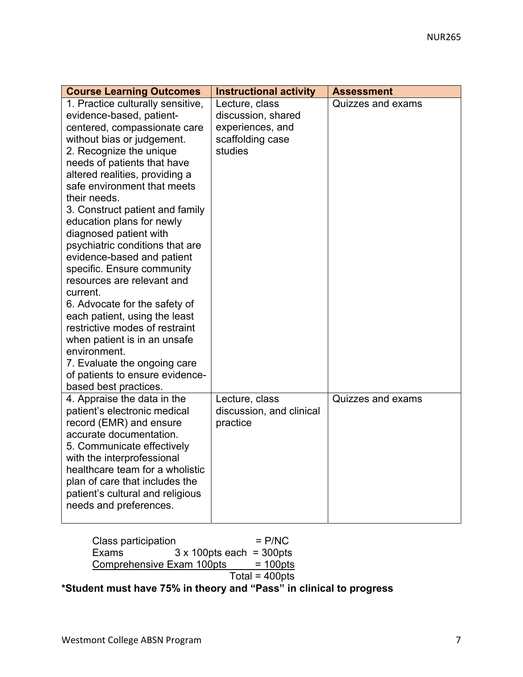| <b>Course Learning Outcomes</b>                                                                                                                                                                                                                                                                                                                                                                                                                                                                                                                                                                                                                                                                                                                           | <b>Instructional activity</b>                                                           | <b>Assessment</b> |
|-----------------------------------------------------------------------------------------------------------------------------------------------------------------------------------------------------------------------------------------------------------------------------------------------------------------------------------------------------------------------------------------------------------------------------------------------------------------------------------------------------------------------------------------------------------------------------------------------------------------------------------------------------------------------------------------------------------------------------------------------------------|-----------------------------------------------------------------------------------------|-------------------|
| 1. Practice culturally sensitive,<br>evidence-based, patient-<br>centered, compassionate care<br>without bias or judgement.<br>2. Recognize the unique<br>needs of patients that have<br>altered realities, providing a<br>safe environment that meets<br>their needs.<br>3. Construct patient and family<br>education plans for newly<br>diagnosed patient with<br>psychiatric conditions that are<br>evidence-based and patient<br>specific. Ensure community<br>resources are relevant and<br>current.<br>6. Advocate for the safety of<br>each patient, using the least<br>restrictive modes of restraint<br>when patient is in an unsafe<br>environment.<br>7. Evaluate the ongoing care<br>of patients to ensure evidence-<br>based best practices. | Lecture, class<br>discussion, shared<br>experiences, and<br>scaffolding case<br>studies | Quizzes and exams |
| 4. Appraise the data in the<br>patient's electronic medical<br>record (EMR) and ensure<br>accurate documentation.<br>5. Communicate effectively<br>with the interprofessional<br>healthcare team for a wholistic<br>plan of care that includes the<br>patient's cultural and religious<br>needs and preferences.                                                                                                                                                                                                                                                                                                                                                                                                                                          | Lecture, class<br>discussion, and clinical<br>practice                                  | Quizzes and exams |

Class participation  $=$  P/NC<br>Exams  $=$  3 x 100pts each = 300pts  $3 \times 100$ pts each = 300pts Comprehensive Exam  $100pts = 100pts$  $Total = 400pts$ **\*Student must have 75% in theory and "Pass" in clinical to progress**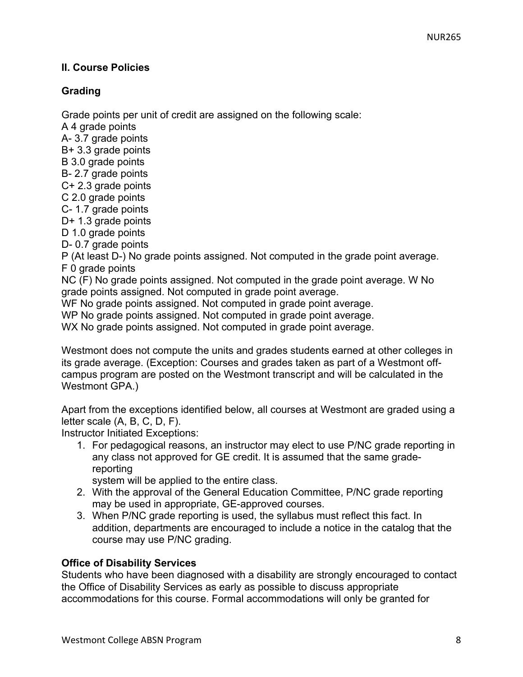# **II. Course Policies**

# **Grading**

Grade points per unit of credit are assigned on the following scale:

A 4 grade points A- 3.7 grade points B+ 3.3 grade points B 3.0 grade points B- 2.7 grade points C+ 2.3 grade points C 2.0 grade points C- 1.7 grade points D+ 1.3 grade points D 1.0 grade points D- 0.7 grade points P (At least D-) No grade points assigned. Not computed in the grade point average. F 0 grade points NC (F) No grade points assigned. Not computed in the grade point average. W No grade points assigned. Not computed in grade point average. WF No grade points assigned. Not computed in grade point average. WP No grade points assigned. Not computed in grade point average. WX No grade points assigned. Not computed in grade point average.

Westmont does not compute the units and grades students earned at other colleges in its grade average. (Exception: Courses and grades taken as part of a Westmont offcampus program are posted on the Westmont transcript and will be calculated in the Westmont GPA.)

Apart from the exceptions identified below, all courses at Westmont are graded using a letter scale (A, B, C, D, F).

Instructor Initiated Exceptions:

1. For pedagogical reasons, an instructor may elect to use P/NC grade reporting in any class not approved for GE credit. It is assumed that the same gradereporting

system will be applied to the entire class.

- 2. With the approval of the General Education Committee, P/NC grade reporting may be used in appropriate, GE-approved courses.
- 3. When P/NC grade reporting is used, the syllabus must reflect this fact. In addition, departments are encouraged to include a notice in the catalog that the course may use P/NC grading.

# **Office of Disability Services**

Students who have been diagnosed with a disability are strongly encouraged to contact the Office of Disability Services as early as possible to discuss appropriate accommodations for this course. Formal accommodations will only be granted for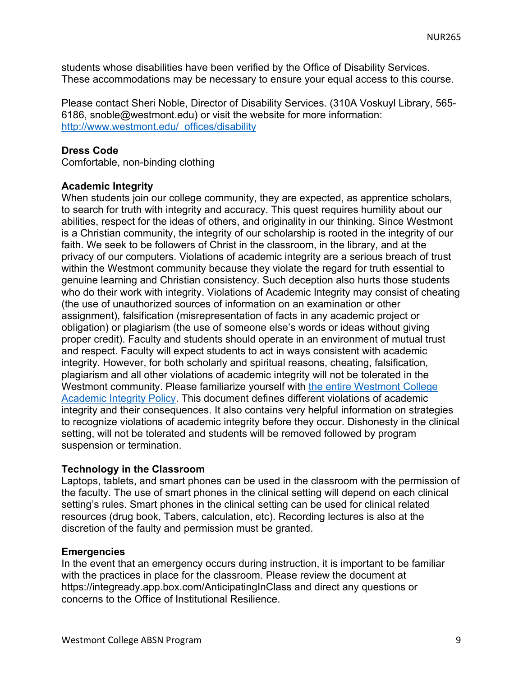students whose disabilities have been verified by the Office of Disability Services. These accommodations may be necessary to ensure your equal access to this course.

Please contact Sheri Noble, Director of Disability Services. (310A Voskuyl Library, 565- 6186, snoble@westmont.edu) or visit the website for more information: http://www.westmont.edu/\_offices/disability

# **Dress Code**

Comfortable, non-binding clothing

## **Academic Integrity**

When students join our college community, they are expected, as apprentice scholars, to search for truth with integrity and accuracy. This quest requires humility about our abilities, respect for the ideas of others, and originality in our thinking. Since Westmont is a Christian community, the integrity of our scholarship is rooted in the integrity of our faith. We seek to be followers of Christ in the classroom, in the library, and at the privacy of our computers. Violations of academic integrity are a serious breach of trust within the Westmont community because they violate the regard for truth essential to genuine learning and Christian consistency. Such deception also hurts those students who do their work with integrity. Violations of Academic Integrity may consist of cheating (the use of unauthorized sources of information on an examination or other assignment), falsification (misrepresentation of facts in any academic project or obligation) or plagiarism (the use of someone else's words or ideas without giving proper credit). Faculty and students should operate in an environment of mutual trust and respect. Faculty will expect students to act in ways consistent with academic integrity. However, for both scholarly and spiritual reasons, cheating, falsification, plagiarism and all other violations of academic integrity will not be tolerated in the Westmont community. Please familiarize yourself with the entire Westmont College Academic Integrity Policy. This document defines different violations of academic integrity and their consequences. It also contains very helpful information on strategies to recognize violations of academic integrity before they occur. Dishonesty in the clinical setting, will not be tolerated and students will be removed followed by program suspension or termination.

## **Technology in the Classroom**

Laptops, tablets, and smart phones can be used in the classroom with the permission of the faculty. The use of smart phones in the clinical setting will depend on each clinical setting's rules. Smart phones in the clinical setting can be used for clinical related resources (drug book, Tabers, calculation, etc). Recording lectures is also at the discretion of the faulty and permission must be granted.

## **Emergencies**

In the event that an emergency occurs during instruction, it is important to be familiar with the practices in place for the classroom. Please review the document at https://integready.app.box.com/AnticipatingInClass and direct any questions or concerns to the Office of Institutional Resilience.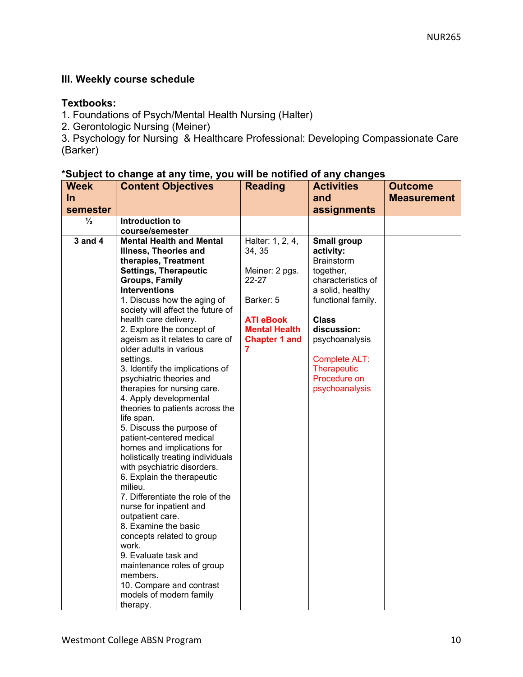# **III. Weekly course schedule**

# **Textbooks:**

- 1. Foundations of Psych/Mental Health Nursing (Halter)
- 2. Gerontologic Nursing (Meiner)

3. Psychology for Nursing & Healthcare Professional: Developing Compassionate Care (Barker)

|  |  |  | *Subject to change at any time, you will be notified of any changes |  |
|--|--|--|---------------------------------------------------------------------|--|
|--|--|--|---------------------------------------------------------------------|--|

| <b>Week</b>   | <b>Content Objectives</b>                                   | <b>Reading</b>       | <b>Activities</b>                      | <b>Outcome</b>     |
|---------------|-------------------------------------------------------------|----------------------|----------------------------------------|--------------------|
| <u>In</u>     |                                                             |                      | and                                    | <b>Measurement</b> |
| semester      |                                                             |                      | assignments                            |                    |
| $\frac{1}{2}$ | Introduction to                                             |                      |                                        |                    |
|               | course/semester                                             |                      |                                        |                    |
| 3 and 4       | <b>Mental Health and Mental</b>                             | Halter: 1, 2, 4,     | <b>Small group</b>                     |                    |
|               | Illness, Theories and                                       | 34, 35               | activity:                              |                    |
|               | therapies, Treatment                                        |                      | <b>Brainstorm</b>                      |                    |
|               | <b>Settings, Therapeutic</b>                                | Meiner: 2 pgs.       | together,                              |                    |
|               | <b>Groups, Family</b>                                       | 22-27                | characteristics of                     |                    |
|               | <b>Interventions</b><br>1. Discuss how the aging of         | Barker: 5            | a solid, healthy<br>functional family. |                    |
|               | society will affect the future of                           |                      |                                        |                    |
|               | health care delivery.                                       | <b>ATI eBook</b>     | <b>Class</b>                           |                    |
|               | 2. Explore the concept of                                   | <b>Mental Health</b> | discussion:                            |                    |
|               | ageism as it relates to care of                             | <b>Chapter 1 and</b> | psychoanalysis                         |                    |
|               | older adults in various                                     | 7                    |                                        |                    |
|               | settings.                                                   |                      | Complete ALT:                          |                    |
|               | 3. Identify the implications of                             |                      | Therapeutic                            |                    |
|               | psychiatric theories and                                    |                      | Procedure on                           |                    |
|               | therapies for nursing care.                                 |                      | psychoanalysis                         |                    |
|               | 4. Apply developmental<br>theories to patients across the   |                      |                                        |                    |
|               | life span.                                                  |                      |                                        |                    |
|               | 5. Discuss the purpose of                                   |                      |                                        |                    |
|               | patient-centered medical                                    |                      |                                        |                    |
|               | homes and implications for                                  |                      |                                        |                    |
|               | holistically treating individuals                           |                      |                                        |                    |
|               | with psychiatric disorders.                                 |                      |                                        |                    |
|               | 6. Explain the therapeutic                                  |                      |                                        |                    |
|               | milieu.                                                     |                      |                                        |                    |
|               | 7. Differentiate the role of the<br>nurse for inpatient and |                      |                                        |                    |
|               | outpatient care.                                            |                      |                                        |                    |
|               | 8. Examine the basic                                        |                      |                                        |                    |
|               | concepts related to group                                   |                      |                                        |                    |
|               | work.                                                       |                      |                                        |                    |
|               | 9. Evaluate task and                                        |                      |                                        |                    |
|               | maintenance roles of group                                  |                      |                                        |                    |
|               | members.                                                    |                      |                                        |                    |
|               | 10. Compare and contrast                                    |                      |                                        |                    |
|               | models of modern family                                     |                      |                                        |                    |
|               | therapy.                                                    |                      |                                        |                    |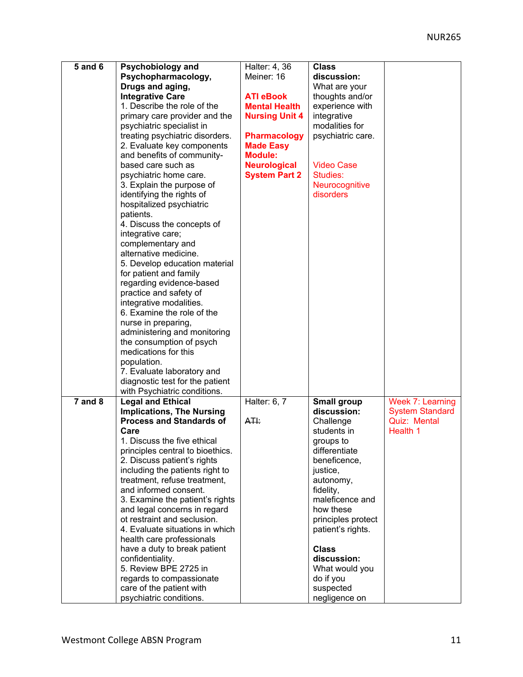| <b>5 and 6</b> | Psychobiology and                | Halter: 4, 36         | <b>Class</b>       |                        |
|----------------|----------------------------------|-----------------------|--------------------|------------------------|
|                | Psychopharmacology,              | Meiner: 16            | discussion:        |                        |
|                | Drugs and aging,                 |                       | What are your      |                        |
|                | <b>Integrative Care</b>          | <b>ATI eBook</b>      | thoughts and/or    |                        |
|                | 1. Describe the role of the      | <b>Mental Health</b>  | experience with    |                        |
|                | primary care provider and the    | <b>Nursing Unit 4</b> | integrative        |                        |
|                | psychiatric specialist in        |                       | modalities for     |                        |
|                | treating psychiatric disorders.  | <b>Pharmacology</b>   | psychiatric care.  |                        |
|                | 2. Evaluate key components       | <b>Made Easy</b>      |                    |                        |
|                | and benefits of community-       | <b>Module:</b>        |                    |                        |
|                | based care such as               |                       | <b>Video Case</b>  |                        |
|                |                                  | <b>Neurological</b>   | Studies:           |                        |
|                | psychiatric home care.           | <b>System Part 2</b>  |                    |                        |
|                | 3. Explain the purpose of        |                       | Neurocognitive     |                        |
|                | identifying the rights of        |                       | disorders          |                        |
|                | hospitalized psychiatric         |                       |                    |                        |
|                | patients.                        |                       |                    |                        |
|                | 4. Discuss the concepts of       |                       |                    |                        |
|                | integrative care;                |                       |                    |                        |
|                | complementary and                |                       |                    |                        |
|                | alternative medicine.            |                       |                    |                        |
|                | 5. Develop education material    |                       |                    |                        |
|                | for patient and family           |                       |                    |                        |
|                | regarding evidence-based         |                       |                    |                        |
|                | practice and safety of           |                       |                    |                        |
|                | integrative modalities.          |                       |                    |                        |
|                | 6. Examine the role of the       |                       |                    |                        |
|                | nurse in preparing,              |                       |                    |                        |
|                | administering and monitoring     |                       |                    |                        |
|                | the consumption of psych         |                       |                    |                        |
|                | medications for this             |                       |                    |                        |
|                | population.                      |                       |                    |                        |
|                | 7. Evaluate laboratory and       |                       |                    |                        |
|                | diagnostic test for the patient  |                       |                    |                        |
|                | with Psychiatric conditions.     |                       |                    |                        |
| $7$ and $8$    | <b>Legal and Ethical</b>         | Halter: 6, 7          | <b>Small group</b> | Week 7: Learning       |
|                | <b>Implications, The Nursing</b> |                       | discussion:        | <b>System Standard</b> |
|                | <b>Process and Standards of</b>  | A <del>TI:</del>      | Challenge          | Quiz: Mental           |
|                | Care                             |                       | students in        | Health 1               |
|                | 1. Discuss the five ethical      |                       | groups to          |                        |
|                | principles central to bioethics. |                       | differentiate      |                        |
|                | 2. Discuss patient's rights      |                       | beneficence,       |                        |
|                | including the patients right to  |                       | justice,           |                        |
|                | treatment, refuse treatment,     |                       | autonomy,          |                        |
|                | and informed consent.            |                       | fidelity,          |                        |
|                | 3. Examine the patient's rights  |                       | maleficence and    |                        |
|                | and legal concerns in regard     |                       | how these          |                        |
|                | ot restraint and seclusion.      |                       | principles protect |                        |
|                | 4. Evaluate situations in which  |                       | patient's rights.  |                        |
|                | health care professionals        |                       |                    |                        |
|                | have a duty to break patient     |                       | <b>Class</b>       |                        |
|                | confidentiality.                 |                       | discussion:        |                        |
|                | 5. Review BPE 2725 in            |                       | What would you     |                        |
|                | regards to compassionate         |                       | do if you          |                        |
|                | care of the patient with         |                       | suspected          |                        |
|                | psychiatric conditions.          |                       | negligence on      |                        |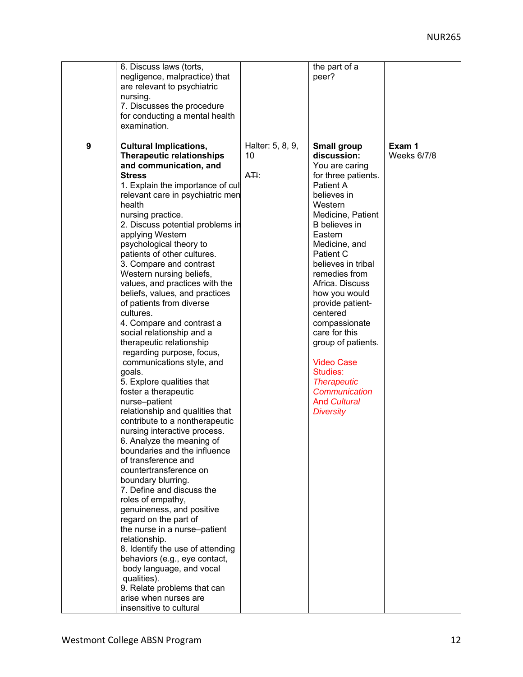|               | 6. Discuss laws (torts,          |                   | the part of a       |                    |
|---------------|----------------------------------|-------------------|---------------------|--------------------|
|               | negligence, malpractice) that    |                   | peer?               |                    |
|               | are relevant to psychiatric      |                   |                     |                    |
| nursing.      |                                  |                   |                     |                    |
|               | 7. Discusses the procedure       |                   |                     |                    |
|               | for conducting a mental health   |                   |                     |                    |
| examination.  |                                  |                   |                     |                    |
|               |                                  |                   |                     |                    |
| 9             | <b>Cultural Implications,</b>    | Halter: 5, 8, 9,  | <b>Small group</b>  | Exam 1             |
|               | <b>Therapeutic relationships</b> | 10                | discussion:         | <b>Weeks 6/7/8</b> |
|               | and communication, and           |                   | You are caring      |                    |
| <b>Stress</b> |                                  | A <del>TI</del> : | for three patients. |                    |
|               | 1. Explain the importance of cul |                   | Patient A           |                    |
|               | relevant care in psychiatric men |                   | believes in         |                    |
| health        |                                  |                   | Western             |                    |
|               | nursing practice.                |                   | Medicine, Patient   |                    |
|               | 2. Discuss potential problems in |                   | B believes in       |                    |
|               | applying Western                 |                   | Eastern             |                    |
|               | psychological theory to          |                   | Medicine, and       |                    |
|               | patients of other cultures.      |                   | Patient C           |                    |
|               | 3. Compare and contrast          |                   | believes in tribal  |                    |
|               | Western nursing beliefs,         |                   | remedies from       |                    |
|               |                                  |                   | Africa. Discuss     |                    |
|               | values, and practices with the   |                   |                     |                    |
|               | beliefs, values, and practices   |                   | how you would       |                    |
|               | of patients from diverse         |                   | provide patient-    |                    |
| cultures.     |                                  |                   | centered            |                    |
|               | 4. Compare and contrast a        |                   | compassionate       |                    |
|               | social relationship and a        |                   | care for this       |                    |
|               | therapeutic relationship         |                   | group of patients.  |                    |
|               | regarding purpose, focus,        |                   |                     |                    |
|               | communications style, and        |                   | <b>Video Case</b>   |                    |
| goals.        |                                  |                   | Studies:            |                    |
|               | 5. Explore qualities that        |                   | <b>Therapeutic</b>  |                    |
|               | foster a therapeutic             |                   | Communication       |                    |
| nurse-patient |                                  |                   | <b>And Cultural</b> |                    |
|               | relationship and qualities that  |                   | <b>Diversity</b>    |                    |
|               | contribute to a nontherapeutic   |                   |                     |                    |
|               | nursing interactive process.     |                   |                     |                    |
|               | 6. Analyze the meaning of        |                   |                     |                    |
|               | boundaries and the influence     |                   |                     |                    |
|               | of transference and              |                   |                     |                    |
|               | countertransference on           |                   |                     |                    |
|               | boundary blurring.               |                   |                     |                    |
|               | 7. Define and discuss the        |                   |                     |                    |
|               | roles of empathy,                |                   |                     |                    |
|               | genuineness, and positive        |                   |                     |                    |
|               | regard on the part of            |                   |                     |                    |
|               | the nurse in a nurse-patient     |                   |                     |                    |
| relationship. |                                  |                   |                     |                    |
|               | 8. Identify the use of attending |                   |                     |                    |
|               | behaviors (e.g., eye contact,    |                   |                     |                    |
|               | body language, and vocal         |                   |                     |                    |
| qualities).   |                                  |                   |                     |                    |
|               | 9. Relate problems that can      |                   |                     |                    |
|               | arise when nurses are            |                   |                     |                    |
|               | insensitive to cultural          |                   |                     |                    |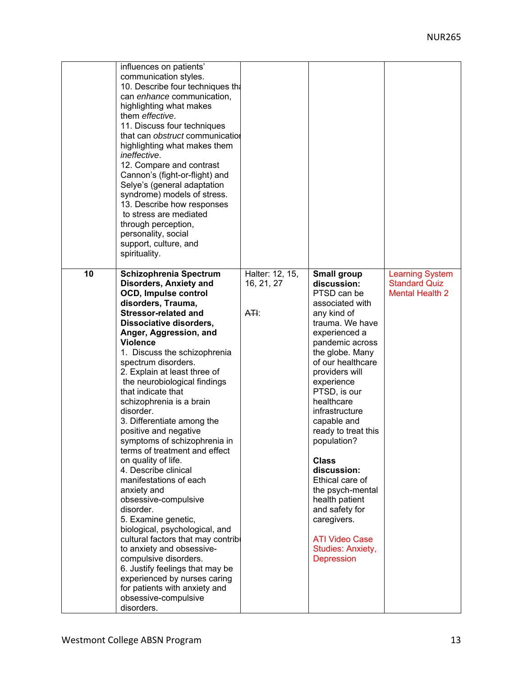|    | influences on patients'<br>communication styles.<br>10. Describe four techniques the<br>can enhance communication,<br>highlighting what makes<br>them <i>effective</i> .<br>11. Discuss four techniques<br>that can obstruct communication<br>highlighting what makes them<br>ineffective.<br>12. Compare and contrast<br>Cannon's (fight-or-flight) and<br>Selye's (general adaptation<br>syndrome) models of stress.<br>13. Describe how responses<br>to stress are mediated<br>through perception,<br>personality, social<br>support, culture, and<br>spirituality.                                                                                                                                                                                                                                                                                                                                                                                 |                                         |                                                                                                                                                                                                                                                                                                                                                                                                                                                                                                                    |                                                                          |
|----|--------------------------------------------------------------------------------------------------------------------------------------------------------------------------------------------------------------------------------------------------------------------------------------------------------------------------------------------------------------------------------------------------------------------------------------------------------------------------------------------------------------------------------------------------------------------------------------------------------------------------------------------------------------------------------------------------------------------------------------------------------------------------------------------------------------------------------------------------------------------------------------------------------------------------------------------------------|-----------------------------------------|--------------------------------------------------------------------------------------------------------------------------------------------------------------------------------------------------------------------------------------------------------------------------------------------------------------------------------------------------------------------------------------------------------------------------------------------------------------------------------------------------------------------|--------------------------------------------------------------------------|
| 10 | Schizophrenia Spectrum<br><b>Disorders, Anxiety and</b><br>OCD, Impulse control<br>disorders, Trauma,<br><b>Stressor-related and</b><br>Dissociative disorders,<br>Anger, Aggression, and<br><b>Violence</b><br>1. Discuss the schizophrenia<br>spectrum disorders.<br>2. Explain at least three of<br>the neurobiological findings<br>that indicate that<br>schizophrenia is a brain<br>disorder.<br>3. Differentiate among the<br>positive and negative<br>symptoms of schizophrenia in<br>terms of treatment and effect<br>on quality of life.<br>4. Describe clinical<br>manifestations of each<br>anxiety and<br>obsessive-compulsive<br>disorder.<br>5. Examine genetic,<br>biological, psychological, and<br>cultural factors that may contribl<br>to anxiety and obsessive-<br>compulsive disorders.<br>6. Justify feelings that may be<br>experienced by nurses caring<br>for patients with anxiety and<br>obsessive-compulsive<br>disorders. | Halter: 12, 15,<br>16, 21, 27<br>$A$ H: | <b>Small group</b><br>discussion:<br>PTSD can be<br>associated with<br>any kind of<br>trauma. We have<br>experienced a<br>pandemic across<br>the globe. Many<br>of our healthcare<br>providers will<br>experience<br>PTSD, is our<br>healthcare<br>infrastructure<br>capable and<br>ready to treat this<br>population?<br><b>Class</b><br>discussion:<br>Ethical care of<br>the psych-mental<br>health patient<br>and safety for<br>caregivers.<br><b>ATI Video Case</b><br>Studies: Anxiety,<br><b>Depression</b> | <b>Learning System</b><br><b>Standard Quiz</b><br><b>Mental Health 2</b> |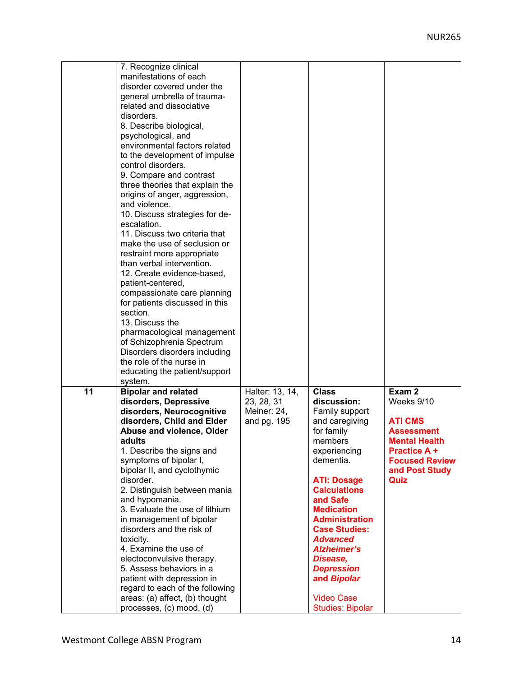| 7. Recognize clinical<br>manifestations of each<br>disorder covered under the<br>general umbrella of trauma-<br>related and dissociative<br>disorders.<br>8. Describe biological,<br>psychological, and<br>environmental factors related<br>to the development of impulse<br>control disorders.<br>9. Compare and contrast<br>three theories that explain the<br>origins of anger, aggression,<br>and violence.<br>10. Discuss strategies for de-<br>escalation.<br>11. Discuss two criteria that<br>make the use of seclusion or<br>restraint more appropriate<br>than verbal intervention.<br>12. Create evidence-based,<br>patient-centered,<br>compassionate care planning<br>for patients discussed in this<br>section.<br>13. Discuss the<br>pharmacological management<br>of Schizophrenia Spectrum<br>Disorders disorders including<br>the role of the nurse in<br>educating the patient/support |                                                             |                                                                                                                                                                                                                                                                                                                                                                                               |                                                                                                                                                               |
|----------------------------------------------------------------------------------------------------------------------------------------------------------------------------------------------------------------------------------------------------------------------------------------------------------------------------------------------------------------------------------------------------------------------------------------------------------------------------------------------------------------------------------------------------------------------------------------------------------------------------------------------------------------------------------------------------------------------------------------------------------------------------------------------------------------------------------------------------------------------------------------------------------|-------------------------------------------------------------|-----------------------------------------------------------------------------------------------------------------------------------------------------------------------------------------------------------------------------------------------------------------------------------------------------------------------------------------------------------------------------------------------|---------------------------------------------------------------------------------------------------------------------------------------------------------------|
| system.<br>11<br><b>Bipolar and related</b><br>disorders, Depressive<br>disorders, Neurocognitive<br>disorders, Child and Elder<br>Abuse and violence, Older<br>adults<br>1. Describe the signs and<br>symptoms of bipolar I,<br>bipolar II, and cyclothymic<br>disorder.<br>2. Distinguish between mania<br>and hypomania.<br>3. Evaluate the use of lithium<br>in management of bipolar<br>disorders and the risk of<br>toxicity.<br>4. Examine the use of<br>electoconvulsive therapy.<br>5. Assess behaviors in a<br>patient with depression in<br>regard to each of the following<br>areas: (a) affect, (b) thought<br>processes, (c) mood, (d)                                                                                                                                                                                                                                                     | Halter: 13, 14,<br>23, 28, 31<br>Meiner: 24,<br>and pg. 195 | <b>Class</b><br>discussion:<br>Family support<br>and caregiving<br>for family<br>members<br>experiencing<br>dementia.<br><b>ATI: Dosage</b><br><b>Calculations</b><br>and Safe<br><b>Medication</b><br><b>Administration</b><br><b>Case Studies:</b><br><b>Advanced</b><br><b>Alzheimer's</b><br>Disease,<br><b>Depression</b><br>and Bipolar<br><b>Video Case</b><br><b>Studies: Bipolar</b> | Exam 2<br>Weeks 9/10<br><b>ATI CMS</b><br><b>Assessment</b><br><b>Mental Health</b><br><b>Practice A +</b><br><b>Focused Review</b><br>and Post Study<br>Quiz |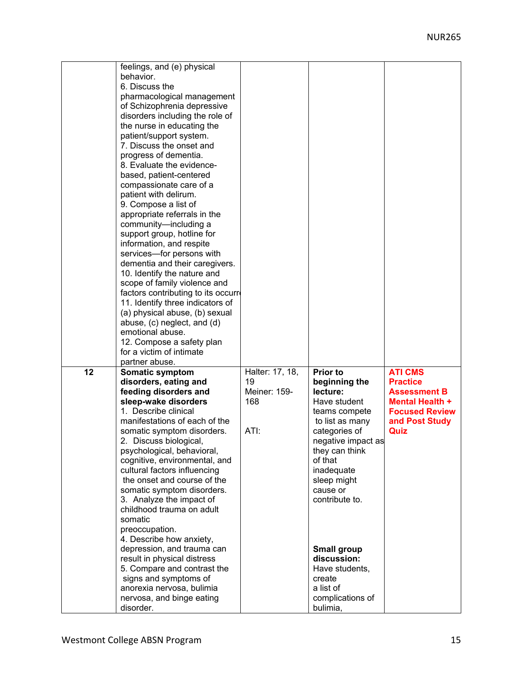| behavior.                  | feelings, and (e) physical<br>6. Discuss the<br>pharmacological management<br>of Schizophrenia depressive<br>disorders including the role of<br>the nurse in educating the<br>patient/support system.<br>7. Discuss the onset and<br>progress of dementia.<br>8. Evaluate the evidence-<br>based, patient-centered<br>compassionate care of a<br>patient with delirum.<br>9. Compose a list of<br>appropriate referrals in the<br>community-including a<br>support group, hotline for<br>information, and respite<br>services-for persons with<br>dementia and their caregivers.<br>10. Identify the nature and<br>scope of family violence and<br>factors contributing to its occurre<br>11. Identify three indicators of<br>(a) physical abuse, (b) sexual<br>abuse, (c) neglect, and (d)<br>emotional abuse.<br>12. Compose a safety plan<br>for a victim of intimate<br>partner abuse. |                                                      |                                                                                                                                                                                                                                                                                                                                               |                                                                                                                                       |
|----------------------------|--------------------------------------------------------------------------------------------------------------------------------------------------------------------------------------------------------------------------------------------------------------------------------------------------------------------------------------------------------------------------------------------------------------------------------------------------------------------------------------------------------------------------------------------------------------------------------------------------------------------------------------------------------------------------------------------------------------------------------------------------------------------------------------------------------------------------------------------------------------------------------------------|------------------------------------------------------|-----------------------------------------------------------------------------------------------------------------------------------------------------------------------------------------------------------------------------------------------------------------------------------------------------------------------------------------------|---------------------------------------------------------------------------------------------------------------------------------------|
| 12<br>somatic<br>disorder. | Somatic symptom<br>disorders, eating and<br>feeding disorders and<br>sleep-wake disorders<br>1. Describe clinical<br>manifestations of each of the<br>somatic symptom disorders.<br>2. Discuss biological,<br>psychological, behavioral,<br>cognitive, environmental, and<br>cultural factors influencing<br>the onset and course of the<br>somatic symptom disorders.<br>3. Analyze the impact of<br>childhood trauma on adult<br>preoccupation.<br>4. Describe how anxiety,<br>depression, and trauma can<br>result in physical distress<br>5. Compare and contrast the<br>signs and symptoms of<br>anorexia nervosa, bulimia<br>nervosa, and binge eating                                                                                                                                                                                                                               | Halter: 17, 18,<br>19<br>Meiner: 159-<br>168<br>ATI: | <b>Prior to</b><br>beginning the<br>lecture:<br>Have student<br>teams compete<br>to list as many<br>categories of<br>negative impact as<br>they can think<br>of that<br>inadequate<br>sleep might<br>cause or<br>contribute to.<br><b>Small group</b><br>discussion:<br>Have students,<br>create<br>a list of<br>complications of<br>bulimia, | <b>ATI CMS</b><br><b>Practice</b><br><b>Assessment B</b><br><b>Mental Health +</b><br><b>Focused Review</b><br>and Post Study<br>Quiz |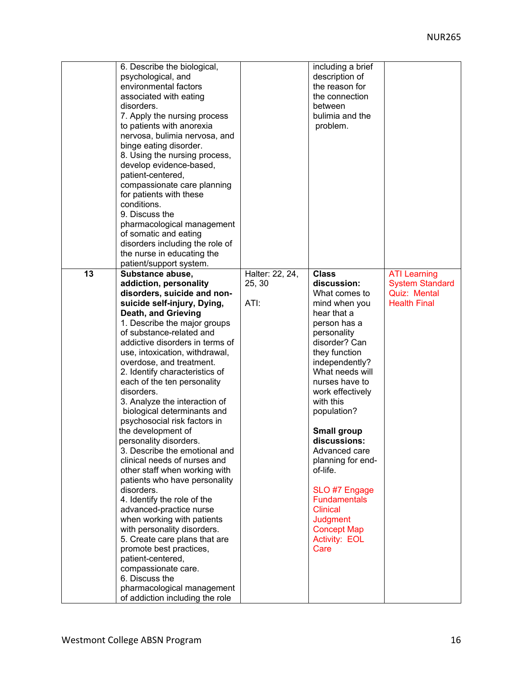|    | 6. Describe the biological,<br>psychological, and<br>environmental factors<br>associated with eating<br>disorders.<br>7. Apply the nursing process<br>to patients with anorexia<br>nervosa, bulimia nervosa, and<br>binge eating disorder.<br>8. Using the nursing process,<br>develop evidence-based,<br>patient-centered,<br>compassionate care planning<br>for patients with these<br>conditions.<br>9. Discuss the<br>pharmacological management<br>of somatic and eating<br>disorders including the role of<br>the nurse in educating the<br>patient/support system.                                                                                                                                                                                                                                                                                                                                                                                                                             |                                   | including a brief<br>description of<br>the reason for<br>the connection<br>between<br>bulimia and the<br>problem.                                                                                                                                                                                                                                                                                                                                                         |                                                                                             |
|----|-------------------------------------------------------------------------------------------------------------------------------------------------------------------------------------------------------------------------------------------------------------------------------------------------------------------------------------------------------------------------------------------------------------------------------------------------------------------------------------------------------------------------------------------------------------------------------------------------------------------------------------------------------------------------------------------------------------------------------------------------------------------------------------------------------------------------------------------------------------------------------------------------------------------------------------------------------------------------------------------------------|-----------------------------------|---------------------------------------------------------------------------------------------------------------------------------------------------------------------------------------------------------------------------------------------------------------------------------------------------------------------------------------------------------------------------------------------------------------------------------------------------------------------------|---------------------------------------------------------------------------------------------|
| 13 | Substance abuse,<br>addiction, personality<br>disorders, suicide and non-<br>suicide self-injury, Dying,<br><b>Death, and Grieving</b><br>1. Describe the major groups<br>of substance-related and<br>addictive disorders in terms of<br>use, intoxication, withdrawal,<br>overdose, and treatment.<br>2. Identify characteristics of<br>each of the ten personality<br>disorders.<br>3. Analyze the interaction of<br>biological determinants and<br>psychosocial risk factors in<br>the development of<br>personality disorders.<br>3. Describe the emotional and<br>clinical needs of nurses and<br>other staff when working with<br>patients who have personality<br>disorders.<br>4. Identify the role of the<br>advanced-practice nurse<br>when working with patients<br>with personality disorders.<br>5. Create care plans that are<br>promote best practices,<br>patient-centered,<br>compassionate care.<br>6. Discuss the<br>pharmacological management<br>of addiction including the role | Halter: 22, 24,<br>25, 30<br>ATI: | <b>Class</b><br>discussion:<br>What comes to<br>mind when you<br>hear that a<br>person has a<br>personality<br>disorder? Can<br>they function<br>independently?<br>What needs will<br>nurses have to<br>work effectively<br>with this<br>population?<br><b>Small group</b><br>discussions:<br>Advanced care<br>planning for end-<br>of-life.<br>SLO #7 Engage<br><b>Fundamentals</b><br><b>Clinical</b><br><b>Judgment</b><br><b>Concept Map</b><br>Activity: EOL<br>Care | <b>ATI Learning</b><br><b>System Standard</b><br><b>Quiz: Mental</b><br><b>Health Final</b> |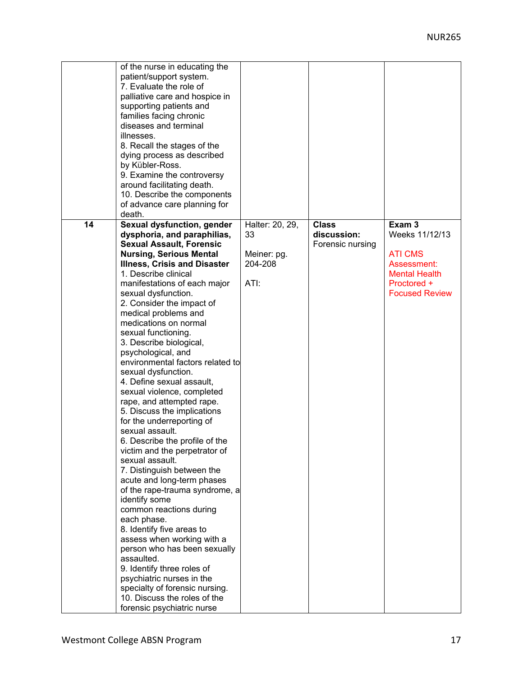|    | of the nurse in educating the       |                 |                  |                       |
|----|-------------------------------------|-----------------|------------------|-----------------------|
|    | patient/support system.             |                 |                  |                       |
|    | 7. Evaluate the role of             |                 |                  |                       |
|    | palliative care and hospice in      |                 |                  |                       |
|    | supporting patients and             |                 |                  |                       |
|    | families facing chronic             |                 |                  |                       |
|    | diseases and terminal               |                 |                  |                       |
|    | illnesses.                          |                 |                  |                       |
|    | 8. Recall the stages of the         |                 |                  |                       |
|    | dying process as described          |                 |                  |                       |
|    | by Kübler-Ross.                     |                 |                  |                       |
|    | 9. Examine the controversy          |                 |                  |                       |
|    | around facilitating death.          |                 |                  |                       |
|    |                                     |                 |                  |                       |
|    | 10. Describe the components         |                 |                  |                       |
|    | of advance care planning for        |                 |                  |                       |
|    | death.                              |                 |                  |                       |
| 14 | Sexual dysfunction, gender          | Halter: 20, 29, | <b>Class</b>     | Exam <sub>3</sub>     |
|    | dysphoria, and paraphilias,         | 33              | discussion:      | Weeks 11/12/13        |
|    | <b>Sexual Assault, Forensic</b>     |                 | Forensic nursing |                       |
|    | <b>Nursing, Serious Mental</b>      | Meiner: pg.     |                  | <b>ATI CMS</b>        |
|    | <b>Illness, Crisis and Disaster</b> | 204-208         |                  | Assessment:           |
|    | 1. Describe clinical                |                 |                  | <b>Mental Health</b>  |
|    | manifestations of each major        | ATI:            |                  | Proctored +           |
|    | sexual dysfunction.                 |                 |                  | <b>Focused Review</b> |
|    | 2. Consider the impact of           |                 |                  |                       |
|    | medical problems and                |                 |                  |                       |
|    | medications on normal               |                 |                  |                       |
|    | sexual functioning.                 |                 |                  |                       |
|    | 3. Describe biological,             |                 |                  |                       |
|    | psychological, and                  |                 |                  |                       |
|    | environmental factors related to    |                 |                  |                       |
|    | sexual dysfunction.                 |                 |                  |                       |
|    | 4. Define sexual assault,           |                 |                  |                       |
|    | sexual violence, completed          |                 |                  |                       |
|    | rape, and attempted rape.           |                 |                  |                       |
|    | 5. Discuss the implications         |                 |                  |                       |
|    | for the underreporting of           |                 |                  |                       |
|    | sexual assault.                     |                 |                  |                       |
|    | 6. Describe the profile of the      |                 |                  |                       |
|    | victim and the perpetrator of       |                 |                  |                       |
|    | sexual assault.                     |                 |                  |                       |
|    | 7. Distinguish between the          |                 |                  |                       |
|    | acute and long-term phases          |                 |                  |                       |
|    | of the rape-trauma syndrome, a      |                 |                  |                       |
|    | identify some                       |                 |                  |                       |
|    | common reactions during             |                 |                  |                       |
|    | each phase.                         |                 |                  |                       |
|    | 8. Identify five areas to           |                 |                  |                       |
|    | assess when working with a          |                 |                  |                       |
|    | person who has been sexually        |                 |                  |                       |
|    | assaulted.                          |                 |                  |                       |
|    | 9. Identify three roles of          |                 |                  |                       |
|    | psychiatric nurses in the           |                 |                  |                       |
|    | specialty of forensic nursing.      |                 |                  |                       |
|    | 10. Discuss the roles of the        |                 |                  |                       |
|    |                                     |                 |                  |                       |
|    | forensic psychiatric nurse          |                 |                  |                       |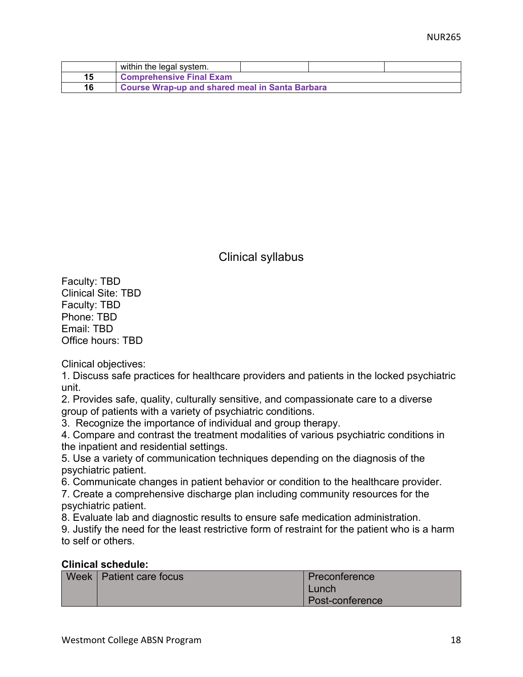|    | within the legal system.                               |  |  |
|----|--------------------------------------------------------|--|--|
| 15 | <b>Comprehensive Final Exam</b>                        |  |  |
| 16 | <b>Course Wrap-up and shared meal in Santa Barbara</b> |  |  |

Clinical syllabus

Faculty: TBD Clinical Site: TBD Faculty: TBD Phone: TBD Email: TBD Office hours: TBD

Clinical objectives:

1. Discuss safe practices for healthcare providers and patients in the locked psychiatric unit.

2. Provides safe, quality, culturally sensitive, and compassionate care to a diverse group of patients with a variety of psychiatric conditions.

3. Recognize the importance of individual and group therapy.

4. Compare and contrast the treatment modalities of various psychiatric conditions in the inpatient and residential settings.

5. Use a variety of communication techniques depending on the diagnosis of the psychiatric patient.

6. Communicate changes in patient behavior or condition to the healthcare provider.

7. Create a comprehensive discharge plan including community resources for the psychiatric patient.

8. Evaluate lab and diagnostic results to ensure safe medication administration.

9. Justify the need for the least restrictive form of restraint for the patient who is a harm to self or others.

## **Clinical schedule:**

| Week   Patient care focus | Preconference   |
|---------------------------|-----------------|
|                           | Lunch           |
|                           | Post-conference |